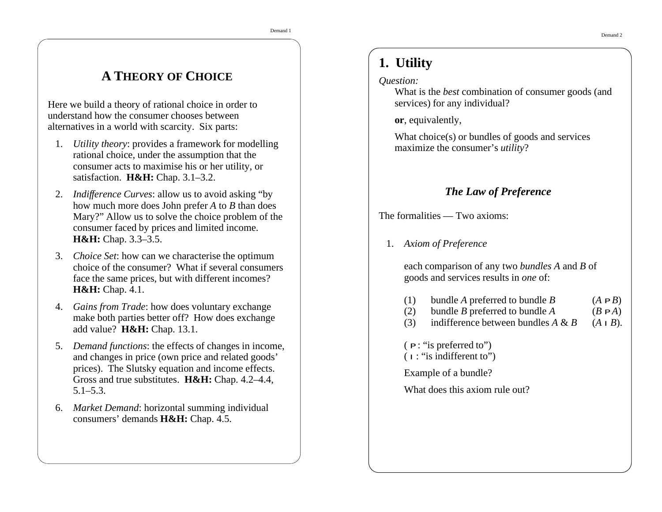# **A THEORY OF CHOICE**

Here we build <sup>a</sup> theory of rational choice in order to understand how the consumer chooses between alternatives in <sup>a</sup> world with scarcity. Six parts:

- 1. *Utility theory*: provides <sup>a</sup> framework for modelling rational choice, under the assumption that the consumer acts to maximise his or her utility, or satisfaction. **H&H:** Chap. 3.1–3.2.
- 2. *Indifference Curves*: allow us to avoid asking "by how much more does John prefer *A* to *B* than does Mary?" Allow us to solve the choice problem of the consumer faced by prices and limited income. **H&H:** Chap. 3.3–3.5.
- 3. *Choice Set*: how can we characterise the optimum choice of the consumer? What if several consumersface the same prices, but with different incomes? **H&H:** Chap. 4.1.
- 4. *Gains from Trade*: how does voluntary exchange make both parties better off? How does exchange add value? **H&H:** Chap. 13.1.
- 5. *Demand functions*: the effects of changes in income, and changes in price (own price and related goods' prices). The Slutsky equation and income effects. Gross and true substitutes. **H&H:** Chap. 4.2–4.4, 5.1–5.3.
- 6. *Market Demand*: horizontal summing individual consumers' demands **H&H:** Chap. 4.5.

# **1. Utility**

#### *Question:*

What is the *best* combination of consumer goods (and services) for any individual?

**or**, equivalently,

What choice(s) or bundles of goods and services maximize the consumer's *utility*?

## *The Law of Preference*

The formalities — Two axioms:

1. *Axiom of Preference*

each comparison of any two *bundles A* and *B* of goods and services results in *one* of:

- (1) bundle *A* preferred to bundle *B*  $(A PB)$
- (2) bundle *B* preferred to bundle *A* ( $B \, PA$ )
- (3) indifference between bundles *A* & *B* (*A I B*).

( *P* : "is preferred to")

 $(I:$  "is indifferent to")

Example of <sup>a</sup> bundle?

What does this axiom rule out?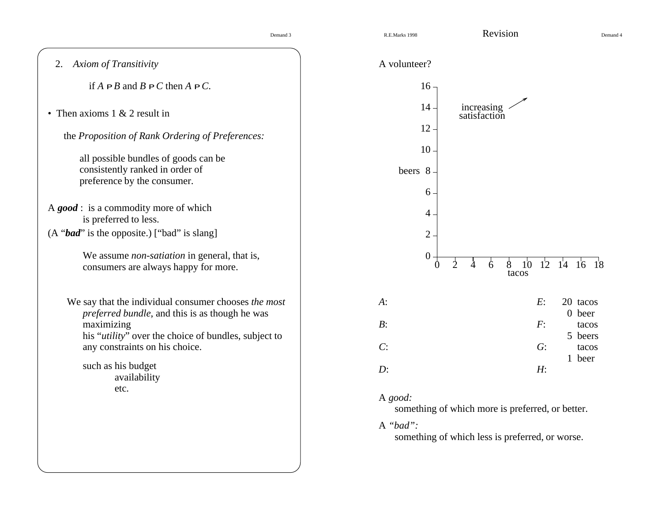Demand 4

| 2. Axiom of Transitivity                                                                                                                                                                       | A volunteer?                                                                          |                                                                    |
|------------------------------------------------------------------------------------------------------------------------------------------------------------------------------------------------|---------------------------------------------------------------------------------------|--------------------------------------------------------------------|
| if $A$ $PB$ and $B$ $PC$ then $A$ $PC$ .                                                                                                                                                       | $16 -$                                                                                |                                                                    |
| • Then axioms $1 \& 2$ result in<br>the Proposition of Rank Ordering of Preferences:<br>all possible bundles of goods can be<br>consistently ranked in order of<br>preference by the consumer. | $14 -$<br>increasing<br>satisfaction<br>$12 -$<br>10 <sup>1</sup><br>beers 8<br>$6 -$ |                                                                    |
| A $good$ : is a commodity more of which<br>is preferred to less.                                                                                                                               | $\overline{4}$ .                                                                      |                                                                    |
| (A "bad" is the opposite.) ["bad" is slang]                                                                                                                                                    | $\overline{2}$                                                                        |                                                                    |
| We assume <i>non-satiation</i> in general, that is,<br>consumers are always happy for more.                                                                                                    | $\boldsymbol{0}$<br>$\overline{2}$<br>$\Omega$<br>4                                   | $12 \t14 \t16 \t18$<br>10 <sup>°</sup><br>$\ddot{6}$<br>8<br>tacos |
| We say that the individual consumer chooses the most<br>preferred bundle, and this is as though he was                                                                                         | $A$ :                                                                                 | E:<br>20 tacos<br>0 beer                                           |
| maximizing<br>his "utility" over the choice of bundles, subject to                                                                                                                             | $B$ :                                                                                 | F:<br>tacos<br>5 beers                                             |
| any constraints on his choice.                                                                                                                                                                 | C:                                                                                    | G:<br>tacos<br>1 beer                                              |
| such as his budget<br>availability                                                                                                                                                             | $D$ :                                                                                 | H <sub>2</sub>                                                     |
| etc.                                                                                                                                                                                           | A good:                                                                               | something of which more is preferred, or better.                   |
|                                                                                                                                                                                                | A "bad":                                                                              | something of which less is preferred, or worse.                    |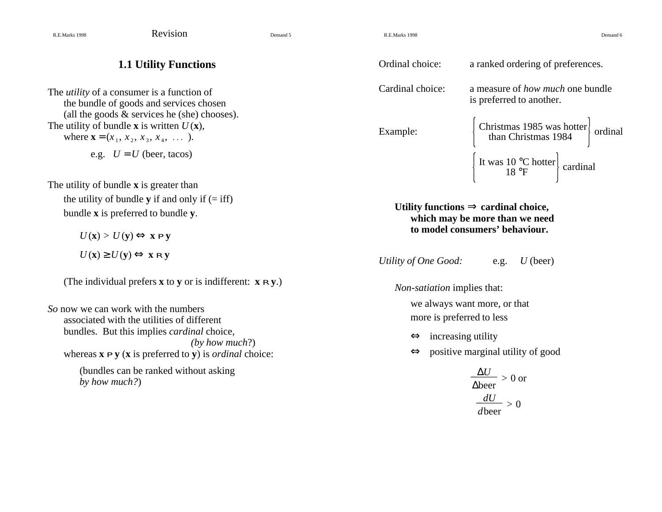R.E.Marks 1998 Revision Demand 5

R.E.Marks 1998

8 Bernard 6 Bernard 6 Bernard 6 Bernard 6 Bernard 6 Bernard 6 Bernard 6 Bernard 6 Bernard 6 Bernard 6 Bernard 6

# **1.1 Utility Functions**

The *utility* of <sup>a</sup> consumer is <sup>a</sup> function of the bundle of goods and services chosen (all the goods  $&$  services he (she) chooses). The utility of bundle **x** is written  $U(\mathbf{x})$ , where  $\mathbf{x} = (x_1, x_2, x_3, x_4, \dots)$ . e.g.  $U = U$  (beer, tacos)

The utility of bundle **<sup>x</sup>** is greater than the utility of bundle **y** if and only if  $(=$  iff) bundle **x** is preferred to bundle **y**.

> *U* (**x**) > *U* (**y**) <sup>⇔</sup> **<sup>x</sup>** *P* **y** *U* (**x**) <sup>≥</sup> *U* (**y**) <sup>⇔</sup> **<sup>x</sup>** *R* **y**

(The individual prefers **<sup>x</sup>** to **y** or is indifferent: **<sup>x</sup>** *R* **y**.)

*So* now we can work with the numbers associated with the utilities of differentbundles. But this implies *cardinal* choice, *(by how much*?) whereas **x** *P* **y** (**<sup>x</sup>** is preferred to **y**) is *ordinal* choice: (bundles can be ranked without asking

*by how much?*)

| Ordinal choice:  | a ranked ordering of preferences.                                                                                                                                                                                                                                                                                                                                                                                                                          |  |  |  |
|------------------|------------------------------------------------------------------------------------------------------------------------------------------------------------------------------------------------------------------------------------------------------------------------------------------------------------------------------------------------------------------------------------------------------------------------------------------------------------|--|--|--|
| Cardinal choice: | a measure of <i>how much</i> one bundle<br>is preferred to another.                                                                                                                                                                                                                                                                                                                                                                                        |  |  |  |
| Example:         | $\begin{array}{ l l }\n\end{array} \begin{array}{ l l }\n\end{array} \begin{array}{ l l }\n\end{array} \begin{array}{ l l }\n\end{array} \begin{array}{ l l }\n\end{array} \begin{array}{ l l }\n\end{array} \begin{array}{ l l }\n\end{array} \begin{array}{ l l }\n\end{array} \begin{array}{ l l }\n\end{array} \begin{array}{ l l }\n\end{array} \begin{array}{ l l }\n\end{array} \begin{array}{ l l }\n\end{array} \begin{array}{ l l }\n\end{array$ |  |  |  |
|                  | $\begin{bmatrix} \text{It was 10 °C hotter} \ 18 \text{ °F} \end{bmatrix}$ cardinal                                                                                                                                                                                                                                                                                                                                                                        |  |  |  |

**Utility functions**  $\Rightarrow$  **cardinal choice**, **which may be more than we need to model consumers' behaviour.**

*Utility of One Good:* e.g. *U* (beer)

*Non-satiation* implies that:

we always want more, or that more is preferred to less

 $\Leftrightarrow$  increasing utility

 $\Leftrightarrow$  positive marginal utility of good

$$
\frac{\Delta U}{\Delta \text{beer}} > 0 \text{ or}
$$

$$
\frac{dU}{d\text{beer}} > 0
$$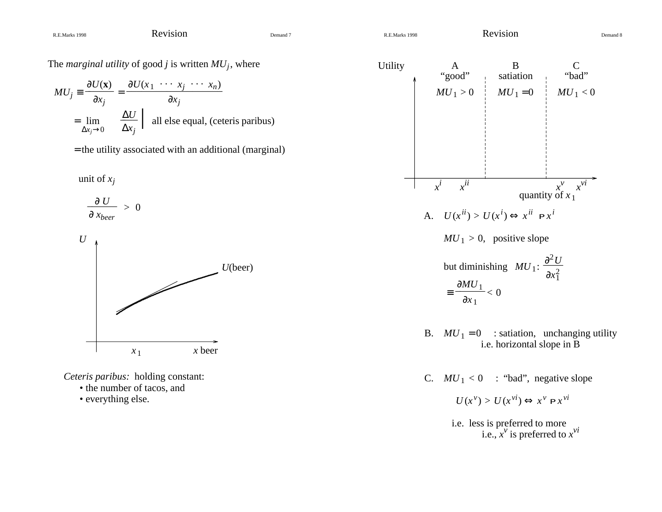The *marginal utility* of goo<sup>d</sup> *j* is written *MUj*, where

$$
MU_j \equiv \frac{\partial U(\mathbf{x})}{\partial x_j} = \frac{\partial U(x_1 \cdots x_j \cdots x_n)}{\partial x_j}
$$
  
=  $\lim_{\Delta x_j \to 0} \frac{\Delta U}{\Delta x_j}$  | all else equal, (ceteris paribus)

= the utility associated with an additional (marginal)

unit of *xj*





*Ceteris paribus:* holding constant:

- the number of tacos, and
- everything else.



C.  $MU_1 < 0$  : "bad", negative slope

$$
U(x^{\nu}) > U(x^{\nu i}) \Leftrightarrow x^{\nu} P x^{\nu i}
$$

i.e. less is preferred to more i.e.,  $x^v$  is preferred to  $x^{vi}$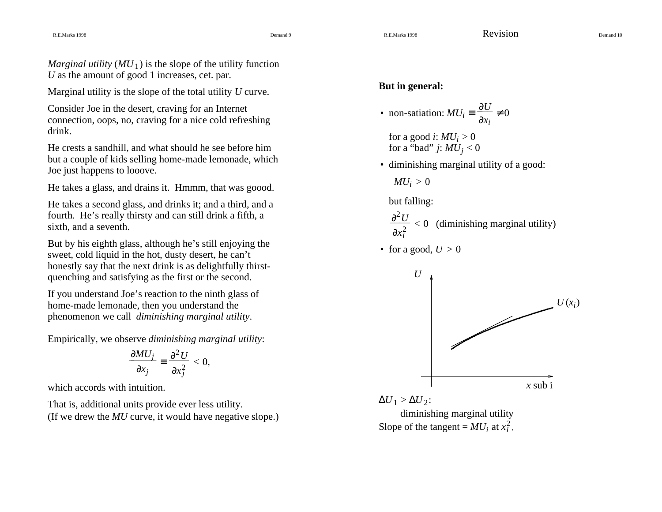*Marginal utility*  $(MU_1)$  is the slope of the utility function *U* as the amount of good 1 increases, cet. par.

Marginal utility is the slope of the total utility *U* curve.

Consider Joe in the desert, craving for an Internet connection, oops, no, craving for <sup>a</sup> nice cold refreshing drink.

He crests <sup>a</sup> sandhill, and what should he see before him but <sup>a</sup> couple of kids selling home-made lemonade, which Joe just happens to looove.

He takes <sup>a</sup> glass, and drains it. Hmmm, that was goood.

He takes <sup>a</sup> second glass, and drinks it; and <sup>a</sup> third, and <sup>a</sup> fourth. He's really thirsty and can still drink <sup>a</sup> fifth, <sup>a</sup> sixth, and <sup>a</sup> seventh.

But by his eighth glass, although he's still enjoying the sweet, cold liquid in the hot, dusty desert, he can't honestly say that the next drink is as delightfully thirstquenching and satisfying as the first or the second.

If you understand Joe's reaction to the ninth glass of home-made lemonade, then you understand the phenomenon we call *diminishing marginal utility*.

Empirically, we observe *diminishing marginal utility*:

$$
\frac{\partial MU_j}{\partial x_j} \equiv \frac{\partial^2 U}{\partial x_j^2} < 0,
$$

which accords with intuition.

That is, additional units provide ever less utility. (If we drew the *MU* curve, it would have negative slope.)

#### **But in general:**

• non-satiation: 
$$
MU_i \equiv \frac{\partial U}{\partial x_i} \neq 0
$$

for <sup>a</sup> good *i*: *MUi* <sup>&</sup>gt; 0 for <sup>a</sup> "bad" *j*: *MUj* <sup>&</sup>lt; <sup>0</sup>

• diminishing marginal utility of <sup>a</sup> good:

 $\sim$   $\sim$   $\sim$ 

 $MU<sub>i</sub> > 0$ 

but falling:

 $\partial x_i^2$  $\partial^2$  $< 0$  (diminishing marginal utility)

• for a good,  $U > 0$ 

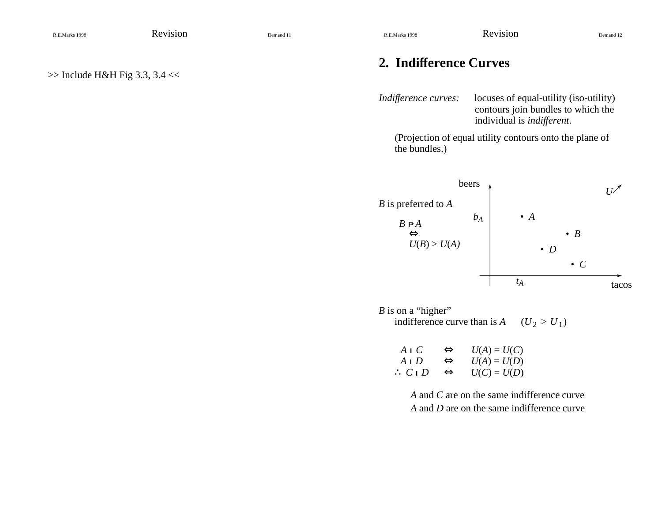# **2. Indifference Curves**

*Indifference curves:* locuses of equal-utility (iso-utility) contours join bundles to which the individual is *indifferent*.

(Projection of equal utility contours onto the plane of the bundles.)



*B* is on a "higher" indifference curve than is  $A$  $(U_2 > U_1)$ 

| AIC              | ⇔ | $U(A) = U(C)$ |
|------------------|---|---------------|
| A I D            | ⇔ | $U(A) = U(D)$ |
| $\therefore CID$ | ⇔ | $U(C) = U(D)$ |

*A* and *C* are on the same indifference curve *A* and *D* are on the same indifference curve

 $\gg$  Include H&H Fig 3.3, 3.4 <<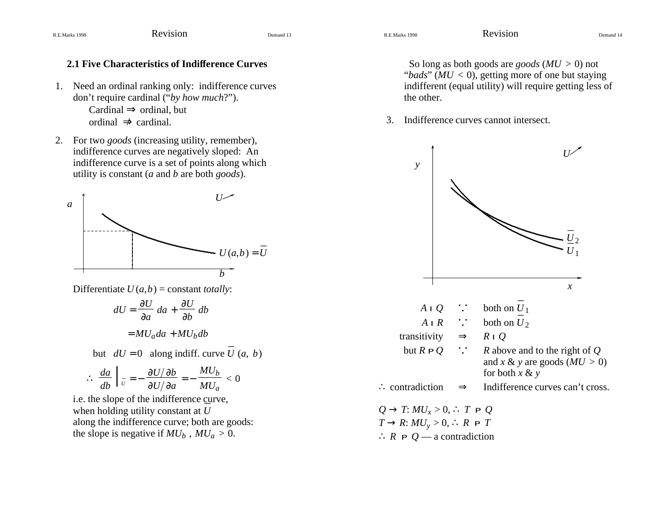- 1. Need an ordinal ranking only: indifference curves don't require cardinal ("*by how much*?"). Cardinal ⇒ ordinal, but ordinal  $\Rightarrow$  cardinal.
- 2. For two *goods* (increasing utility, remember), indifference curves are negatively sloped: An indifference curve is <sup>a</sup> set of points along which utility is constant (*<sup>a</sup>* and *b* are both *goods*).



Differentiate *U* (*<sup>a</sup>*,*b*) <sup>=</sup> constant *totally*:

$$
dU = \frac{\partial U}{\partial a} da + \frac{\partial U}{\partial b} db
$$
  
=  $MU_a da + MU_b db$   
but  $dU = 0$  along indiff. curve  $U(a, b)$ 

$$
\therefore \frac{da}{db}\Big|_{U} = -\frac{\partial U/\partial b}{\partial U/\partial a} = -\frac{MU_b}{MU_a} < 0
$$

i.e. the slope of the indifference curve, when holding utility constant at *U* along the indifference curve; both are goods: the slope is negative if  $MU_b$  ,  $MU_a > 0$ .

 So long as both goods are *goods* (*MU* > 0) not "*bads*" (*MU* < 0), getting more of one but staying indifferent (equal utility) will require getting less of the other.

3. Indifference curves cannot intersect.

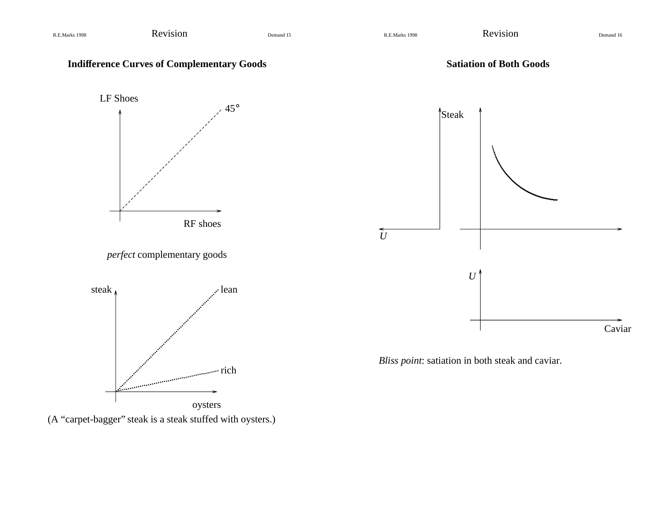

(A "carpet-bagger" steak is <sup>a</sup> steak stuffed with oysters.)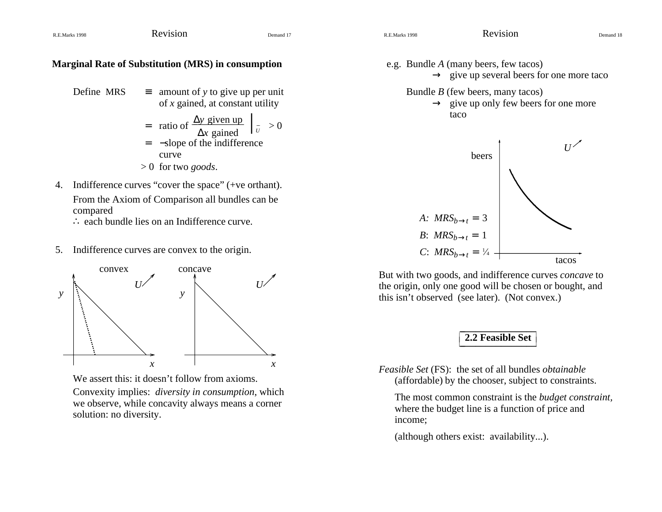#### **Marginal Rate of Substitution (MRS) in consumption**

 $S \equiv$  amount of *y* to give up per unit of *x* gained, at constant utility Define MRS

= ratio of 
$$
\frac{\Delta y \text{ given up}}{\Delta x \text{ gained}}
$$
  $\left| \frac{\partial y}{\partial x} \right| \ge 0$ 

- <sup>−</sup>slope of the indifference curve=
- > 0 for two *goods*.
- 4. Indifference curves "cover the space" (+ve orthant). From the Axiom of Comparison all bundles can be compared
	- ∴ each bundle lies on an Indifference curve.
- 5. Indifference curves are convex to the origin.



We assert this: it doesn't follow from axioms.

Convexity implies: *diversity in consumption*, which we observe, while concavity always means <sup>a</sup> corner solution: no diversity.

e.g. Bundle *A* (many beers, few tacos)  $\rightarrow$  give up several beers for one more taco Bundle *B* (few beers, many tacos)  $\rightarrow$  give up only few beers for one more

taco



But with two goods, and indifference curves *concave* to the origin, only one good will be chosen or bought, and this isn't observed (see later). (Not convex.)

#### \_\_\_\_\_\_\_\_\_\_\_\_\_\_\_\_ **2.2 Feasible Set** \_L\_\_\_\_\_\_\_\_\_\_\_\_\_\_\_ L LL

*Feasible Set* (FS): the set of all bundles *obtainable* (affordable) by the chooser, subject to constraints.

The most common constraint is the *budget constraint,* where the budget line is <sup>a</sup> function of price and income;

(although others exist: availability...).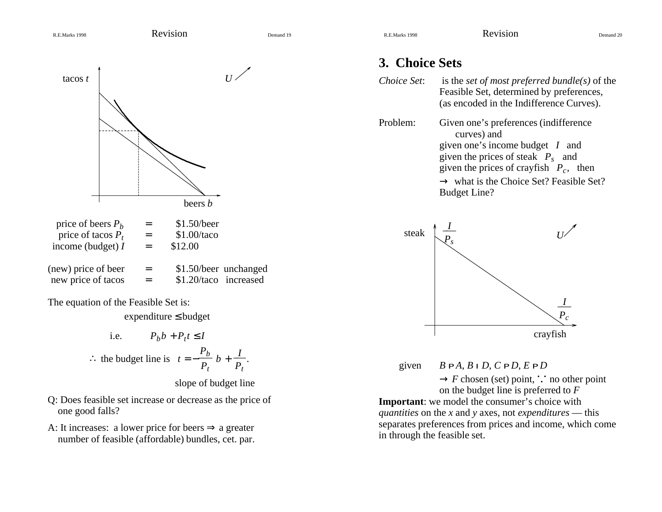tacos *t*

# ............................................................................................................*U*

| price of beers $P_h$                      | $=$ | \$1.50/beer                                    |
|-------------------------------------------|-----|------------------------------------------------|
| price of tacos $P_t$                      | $=$ | \$1.00/taco                                    |
| income (budget) $I$                       | $=$ | \$12.00                                        |
| (new) price of beer<br>new price of tacos | $=$ | \$1.50/beer unchanged<br>\$1.20/taco increased |

beers *b*

The equation of the Feasible Set is:

expenditure ≤ budget

i.e. 
$$
P_b b + P_t t \le I
$$
  
\n $\therefore$  the budget line is  $t = -\frac{P_b}{P_t} b + \frac{I}{P_t}$ 

slope of budget line

- Q: Does feasible set increase or decrease as the price of one good falls?
- A: It increases: a lower price for beers  $\Rightarrow$  a greater number of feasible (affordable) bundles, cet. par.

# **3. Choice Sets**

| Choice Set: | is the <i>set of most preferred bundle(s)</i> of the<br>Feasible Set, determined by preferences,<br>(as encoded in the Indifference Curves).                                                                                                         |
|-------------|------------------------------------------------------------------------------------------------------------------------------------------------------------------------------------------------------------------------------------------------------|
| Problem:    | Given one's preferences (indifference<br>curves) and<br>given one's income budget $I$ and<br>given the prices of steak $P_s$ and<br>given the prices of crayfish $P_c$ , then<br>$\rightarrow$ what is the Choice Set? Feasible Set?<br>Budget Line? |



given  $BPA, BID, CPD, EPD$ 

 $\rightarrow$  *F* chosen (set) point,  $\therefore$  no other point on the budget line is preferred to *F* **Important**: we model the consumer's choice with *quantities* on the *<sup>x</sup>* and *y* axes, not *expenditures* — this separates preferences from prices and income, which come in through the feasible set.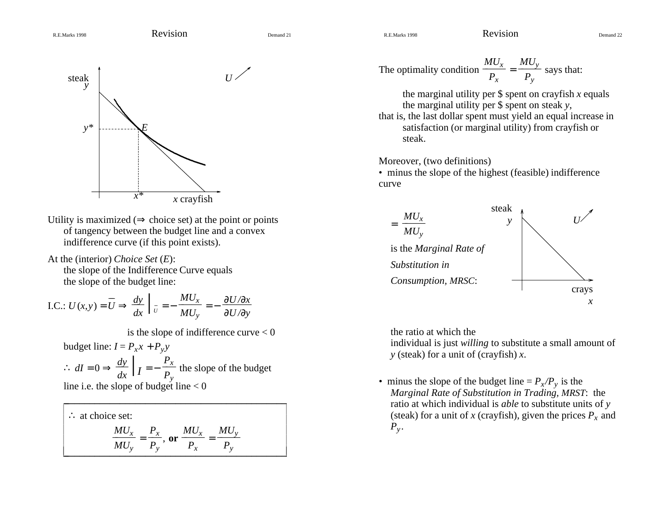$$
\circ \text{R.E.Marks 1998} \qquad \qquad \text{RevISION} \qquad \qquad \text{Demand 21}
$$

$$
\\ Dema
$$



- Utility is maximized ( $\Rightarrow$  choice set) at the point or points of tangency between the budget line and <sup>a</sup> convex indifference curve (if this point exists).
- At the (interior) *Choice Set* (*E*): the slope of the Indifference Curve equals the slope of the budget line:

I.C.: 
$$
U(x,y) = \overline{U} \Rightarrow \frac{dy}{dx} \Big|_{\overline{U}} = -\frac{MU_x}{MU_y} = -\frac{\partial U/\partial x}{\partial U/\partial y}
$$

is the slope of indifference curve  $< 0$ 

budget line:  $I = P_x x + P_y y$ 

∴  $dI = 0 \Rightarrow \frac{dy}{dx} \bigg| I = -\frac{P_x}{P_y}$  $\frac{1}{x}$  the slope of the budget

line i.e. the slope of budget line  $< 0$ 

| $\therefore$ at choice set: |          |                             |        |                    |  |
|-----------------------------|----------|-----------------------------|--------|--------------------|--|
|                             | $MU_x$   | $P_{x}$                     | $MU_x$ | $MU_{\mathcal{N}}$ |  |
|                             | $MU_{v}$ | $\bf{or}$<br>$\mathbf{r}_v$ |        |                    |  |

The optimality condition 
$$
\frac{MU_x}{P_x} = \frac{MU_y}{P_y}
$$
 says that:

the marginal utility per \$ spen<sup>t</sup> on crayfish *x* equals the marginal utility per \$ spen<sup>t</sup> on steak *y*,

that is, the last dollar spen<sup>t</sup> must yield an equal increase in satisfaction (or marginal utility) from crayfish or steak.

Moreover, (two definitions)

• minus the slope of the highest (feasible) indifference curve



the ratio at which the

individual is just *willing* to substitute <sup>a</sup> small amount of *y* (steak) for <sup>a</sup> unit of (crayfish) *x*.

• minus the slope of the budget line  $= P_x/P_y$  is the *Marginal Rate of Substitution in Trading, MRST*: the ratio at which individual is *able* to substitute units of *y* (steak) for <sup>a</sup> unit of *x* (crayfish), given the prices *Px* and  $P_{v}$ .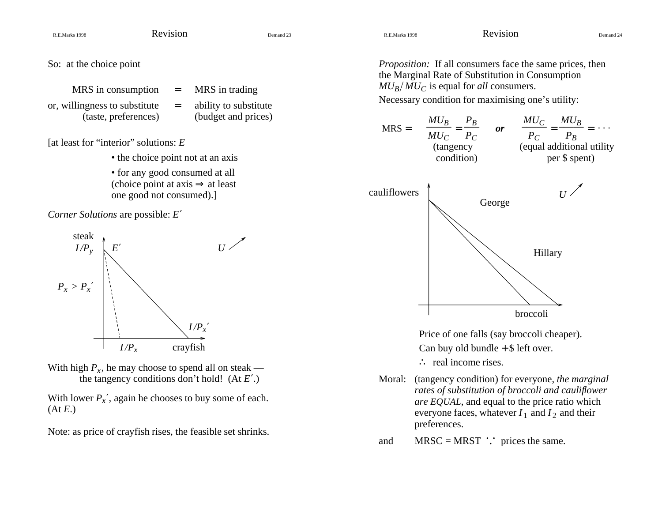So: at the choice point

- $MRS$  in consumption  $=$  MRS in trading or, willingness to substitute  $=$  ability to substitute (taste, preferences) (budget and prices)
	-

[at least for "interior" solutions: *E*

- the choice point not at an axis
- for any good consumed at all (choice point at axis  $\Rightarrow$  at least one good not consumed).]

*Corner Solutions* are possible: *<sup>E</sup>*′



With high  $P_x$ , he may choose to spend all on steak the tangency conditions don't hold! (At *<sup>E</sup>*′.)

With lower  $P_x'$ , again he chooses to buy some of each. (At *E*.)

Note: as price of crayfish rises, the feasible set shrinks.

*Proposition:* If all consumers face the same prices, then the Marginal Rate of Substitution in Consumption  $MU_B/\widetilde{MU}_C$  is equal for *all* consumers.

Necessary condition for maximising one's utility:



Price of one falls (say broccoli cheaper).

Can buy old bundle  $+$  \$ left over.

∴ real income rises.

Moral: (tangency condition) for everyone, *the marginal rates of substitution of broccoli and cauliflower are EQUAL*, and equal to the price ratio which everyone faces, whatever  $I_1$  and  $I_2$  and their preferences.

and MRSC = MRST  $\therefore$  prices the same.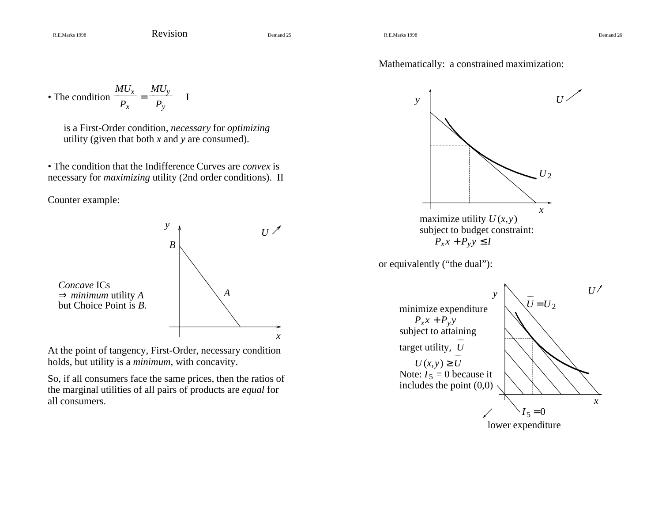Mathematically: <sup>a</sup> constrained maximization:

• The condition 
$$
\frac{MU_x}{P_x} = \frac{MU_y}{P_y}
$$

is <sup>a</sup> First-Order condition, *necessary* for *optimizing* utility (given that both *<sup>x</sup>* and *y* are consumed).

• The condition that the Indifference Curves are *convex* is necessary for *maximizing* utility (2nd order conditions). II

Counter example:



At the point of tangency, First-Order, necessary condition holds, but utility is <sup>a</sup> *minimum*, with concavity.

So, if all consumers face the same prices, then the ratios of the marginal utilities of all pairs of products are *equal* for all consumers.



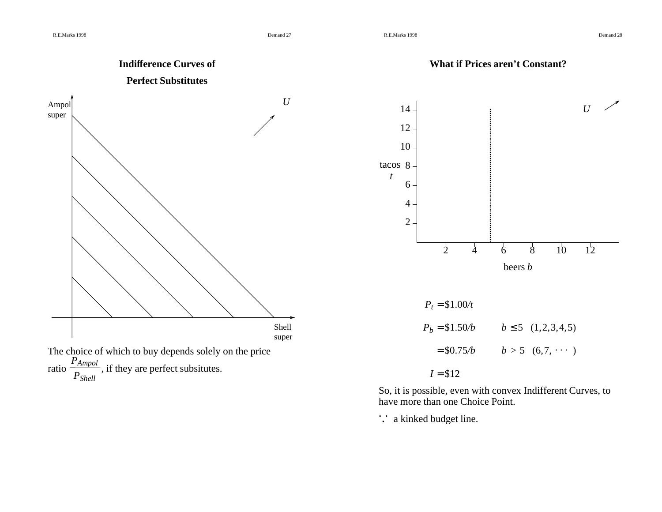

So, it is possible, even with convex Indifferent Curves, to have more than one Choice Point.

*. . .* <sup>a</sup> kinked budget line.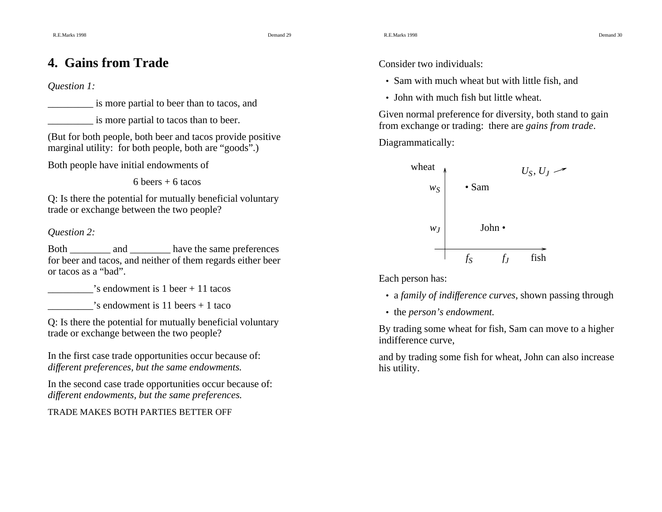8 and 30 and 30 and 30 and 30 and 30 and 30 and 30 and 30 and 30 and 30 and 30 and 30 and 30 and 30 and 30 and 30 and 30 and 30 and 30 and 30 and 30 and 30 and 30 and 30 and 30 and 30 and 30 and 30 and 30 and 30 and 30 and

# **4. Gains from Trade**

#### *Question 1:*

\_\_\_\_\_\_\_\_\_ is more partial to beer than to tacos, and

\_\_\_\_\_\_\_\_\_ is more partial to tacos than to beer.

(But for both people, both beer and tacos provide positive marginal utility: for both people, both are "goods".)

Both people have initial endowments of

 $6$  beers  $+ 6$  tacos

Q: Is there the potential for mutually beneficial voluntary trade or exchange between the two people?

#### *Question 2:*

Both \_\_\_\_\_\_\_\_\_ and \_\_\_\_\_\_\_\_\_ have the same preferences for beer and tacos, and neither of them regards either beer or tacos as <sup>a</sup> "bad".

 $\cdot$ 's endowment is 1 beer + 11 tacos

 $\gamma$ 's endowment is 11 beers + 1 taco

Q: Is there the potential for mutually beneficial voluntary trade or exchange between the two people?

In the first case trade opportunities occur because of: *different preferences, but the same endowments.*

In the second case trade opportunities occur because of: *different endowments, but the same preferences.*

#### TRADE MAKES BOTH PARTIES BETTER OFF

Consider two individuals:

- Sam with much wheat but with little fish, and
- John with much fish but little wheat.

Given normal preference for diversity, both stand to gain from exchange or trading: there are *gains from trade*.

Diagrammatically:



Each person has:

- a *family of indifference curves*, shown passing through
- the *person's endowment.*

By trading some wheat for fish, Sam can move to <sup>a</sup> higher indifference curve,

and by trading some fish for wheat, John can also increase his utility.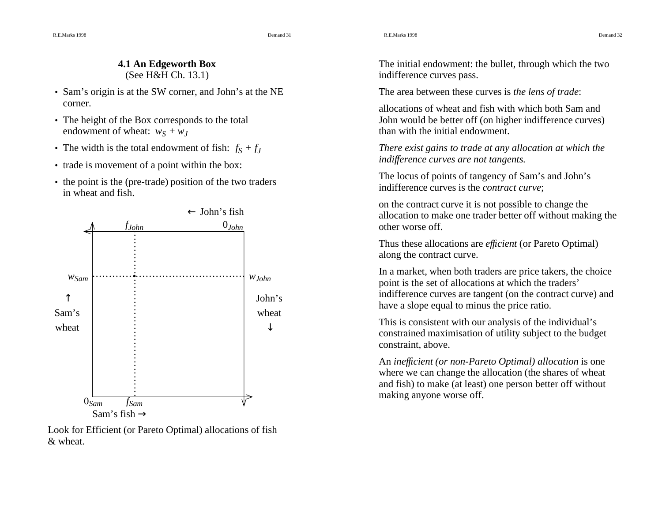8 and 31 and 31 and 31 and 31 and 31 and 31 and 31 and 31 and 31 and 31 and 31 and 31 and 31 and 31 and 31 and 31 and 31 and 31 and 31 and 31 and 31 and 31 and 31 and 31 and 31 and 31 and 31 and 31 and 31 and 31 and 31 and

R.E.Marks 1998

#### **4.1 An Edgeworth Box** (See H&H Ch. 13.1)

- Sam's origin is at the SW corner, and John's at the NE corner.
- The height of the Box corresponds to the total endowment of wheat:  $w_S + w_J$
- The width is the total endowment of fish:  $f_S + f_J$
- trade is movement of <sup>a</sup> point within the box:
- the point is the (pre-trade) position of the two traders in wheat and fish.



Look for Efficient (or Pareto Optimal) allocations of fish & wheat.

The initial endowment: the bullet, through which the two indifference curves pass.

The area between these curves is *the lens of trade*:

allocations of wheat and fish with which both Sam andJohn would be better off (on higher indifference curves) than with the initial endowment.

*There exist gains to trade at any allocation at which the indifference curves are not tangents.*

The locus of points of tangency of Sam's and John's indifference curves is the *contract curve*;

on the contract curve it is not possible to change the allocation to make one trader better off without making the other worse off.

Thus these allocations are *efficient* (or Pareto Optimal) along the contract curve.

In <sup>a</sup> market, when both traders are price takers, the choice point is the set of allocations at which the traders' indifference curves are tangent (on the contract curve) and have <sup>a</sup> slope equal to minus the price ratio.

This is consistent with our analysis of the individual's constrained maximisation of utility subject to the budget constraint, above.

An *inefficient (or non-Pareto Optimal) allocation* is one where we can change the allocation (the shares of wheat and fish) to make (at least) one person better off without making anyone worse off.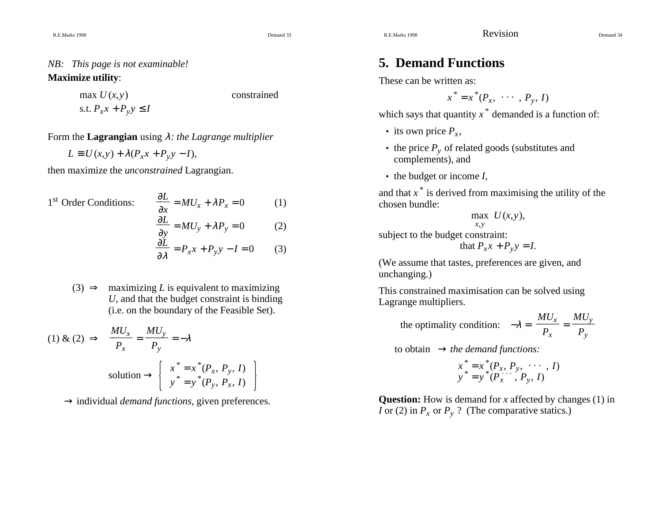# *NB: This page is not examinable!*

#### **Maximize utility**:

(*<sup>x</sup>*,*y*) constrained

max*U*s.t.  $P_x x + P_y y \leq I$ 

Form the **Lagrangian** using λ*: the Lagrange multiplier*

$$
L \equiv U(x, y) + \lambda (P_x x + P_y y - I),
$$

then maximize the *unconstrained* Lagrangian.

1<sup>st</sup> Order Conditions: ∂ *x*  $\frac{\partial L}{\partial y} = MU_x + \lambda P_x = 0$  (1) ∂ *y*  $\frac{\partial L}{\partial y} = MU_y + \lambda P_y = 0$  (2)  $\frac{\partial L}{\partial x^2} = P_x x + P_y y - I = 0$  (3)

∂ λ

(3)  $\Rightarrow$  maximizing *L* is equivalent to maximizing *U*, and that the budget constraint is binding (i.e. on the boundary of the Feasible Set).

(1) & (2) 
$$
\Rightarrow \frac{MU_x}{P_x} = \frac{MU_y}{P_y} = -\lambda
$$
  
solution  $\Rightarrow \begin{cases} x^* = x^*(P_x, P_y, I) \\ y^* = y^*(P_y, P_x, I) \end{cases}$ 

→ individual *demand functions*, given preferences.

# **5. Demand Functions**

These can be written as:

$$
x^* = x^*(P_x, \cdots, P_y, I)
$$

which says that quantity *x \** demanded is <sup>a</sup> function of:

- its own price  $P_x$ ,
- the price *Py* of related goods (substitutes and complements), and
- the budget or income *I*,

and that *x \** is derived from maximising the utility of the chosen bundle:

$$
\max_{x,y} U(x,y),
$$

subject to the budget constraint:

that  $P_x x + P_y y = I$ .

(We assume that tastes, preferences are given, and unchanging.)

This constrained maximisation can be solved using Lagrange multipliers.

the optimality condition: 
$$
-\lambda = \frac{MU_x}{P_x} = \frac{MU_y}{P_y}
$$

to obtain → *the demand functions:*

$$
x^* = x^*(P_x, P_y, \cdots, I) y^* = y^*(P_x, P_y, I)
$$

**Question:** How is demand for *x* affected by changes (1) in *I* or (2) in  $P_x$  or  $P_y$  ? (The comparative statics.)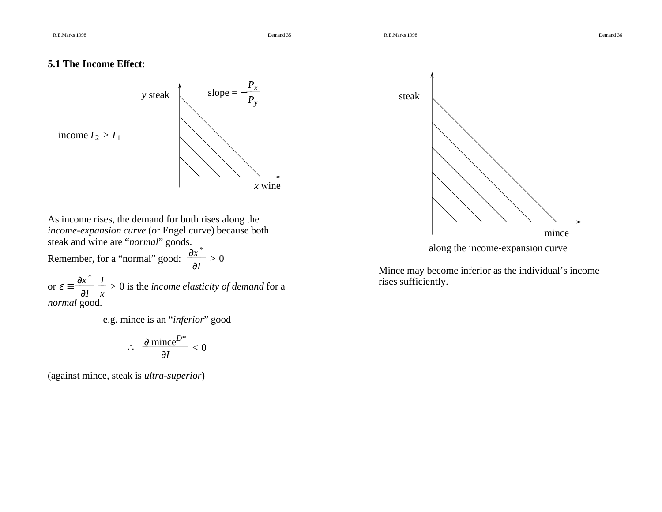#### **5.1 The Income Effect**:



As income rises, the demand for both rises along the *income-expansion curve* (or Engel curve) because both steak and wine are "*normal*" goods.

Remember, for a "normal" good:  $\frac{\partial x^*}{\partial I} > 0$ 

or  $\varepsilon = \frac{\partial f}{\partial I}$  $\partial x^*$ *x*  $\frac{I}{I} > 0$  is the *income elasticity of demand* for a *normal* good.

e.g. mince is an "*inferior*" good

$$
\therefore \frac{\partial \text{ mince}^{D^*}}{\partial I} < 0
$$

(against mince, steak is *ultra-superior*)



Mince may become inferior as the individual's income rises sufficiently.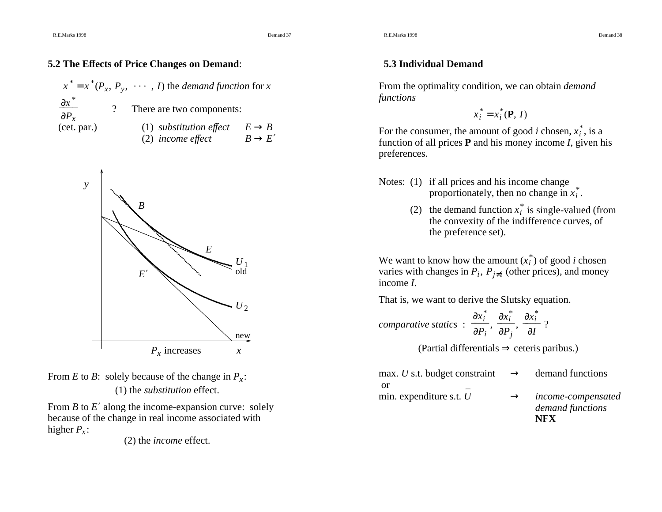#### **5.2 The Effects of Price Changes on Demand**:

$$
x^* = x^*(P_x, P_y, \cdots, I)
$$
 the demand function for x  
\n
$$
\frac{\partial x^*}{\partial P_x}
$$
 ? There are two components:  
\n(1) substitution effect  $E \rightarrow B$   
\n(2) income effect  $B \rightarrow E'$ 





From *<sup>B</sup>* to *<sup>E</sup>*′ along the income-expansion curve: solely because of the change in real income associated with higher  $P<sub>x</sub>$ :

(2) the *income* effect.

#### **5.3 Individual Demand**

From the optimality condition, we can obtain *demand functions*

 $x_i^* = x_i^*({\bf P}, I)$ 

For the consumer, the amount of good *i* chosen,  $x_i^*$ , is a function of all prices **P** and his money income *I*, given his preferences.

- Notes: (1) if all prices and his income change proportionately, then no change in  $x_i^*$ .
	- (2) the demand function  $x_i^*$  is single-valued (from the convexity of the indifference curves, of the preference set).

We want to know how the amount  $(x_i^*)$  of good *i* chosen varies with changes in  $P_i$ ,  $P_{i \neq i}$  (other prices), and money income *I*.

That is, we want to derive the Slutsky equation.

*comparative statics* : 
$$
\frac{\partial x_i^*}{\partial P_i}
$$
,  $\frac{\partial x_i^*}{\partial P_j}$ ,  $\frac{\partial x_i^*}{\partial I}$  ?

(Partial differentials  $\Rightarrow$  ceteris paribus.)

| min. expenditure s.t. $U$                                    | $\rightarrow$ | income-compensated<br>demand functions<br>NFX |
|--------------------------------------------------------------|---------------|-----------------------------------------------|
| -or                                                          |               |                                               |
| max. U s.t. budget constraint $\rightarrow$ demand functions |               |                                               |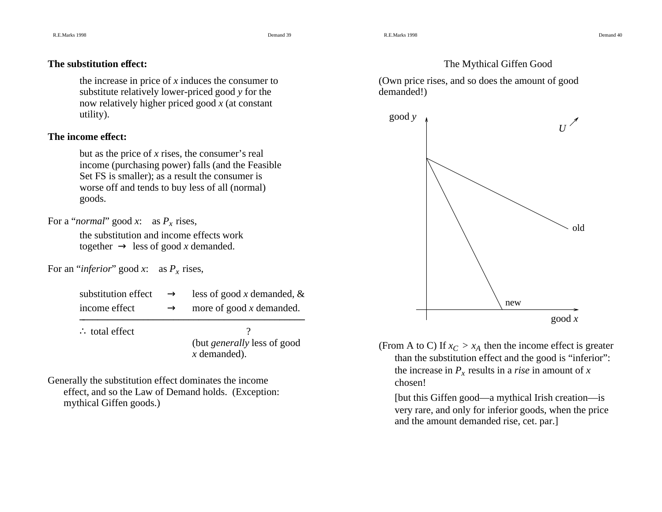8 **S Demand 40** 

#### The Mythical Giffen Good

(Own price rises, and so does the amount of good demanded!)



good *<sup>x</sup>*

(From A to C) If  $x_C > x_A$  then the income effect is greater than the substitution effect and the good is "inferior": the increase in *Px* results in <sup>a</sup> *rise* in amount of *<sup>x</sup>* chosen!

[but this Giffen good—a mythical Irish creation—is very rare, and only for inferior goods, when the price and the amount demanded rise, cet. par.]

#### **The substitution effect:**

the increase in price of *<sup>x</sup>* induces the consumer to substitute relatively lower-priced good *y* for the now relatively higher priced good *<sup>x</sup>* (at constant utility).

#### **The income effect:**

but as the price of *<sup>x</sup>* rises, the consumer's real income (purchasing power) falls (and the Feasible Set FS is smaller); as <sup>a</sup> result the consumer is worse off and tends to buy less of all (normal) goods.

For <sup>a</sup> "*normal*" good *<sup>x</sup>*: as *Px* rises,

the substitution and income effects worktogether  $\rightarrow$  less of good *x* demanded.

For an "*inferior*" good *<sup>x</sup>*: as *Px* rises,

| substitution effect | $\rightarrow$ | less of good x demanded, $\&$ |
|---------------------|---------------|-------------------------------|
| income effect       | $\rightarrow$ | more of good $x$ demanded.    |

 $\mathcal{L}_\mathcal{L}$  , and the set of the set of the set of the set of the set of the set of the set of the set of the set of the set of the set of the set of the set of the set of the set of the set of the set of the set of th

∴ total effect  $\cdot$  ?

(but *generally* less of good *x* demanded).

Generally the substitution effect dominates the income effect, and so the Law of Demand holds. (Exception: mythical Giffen goods.)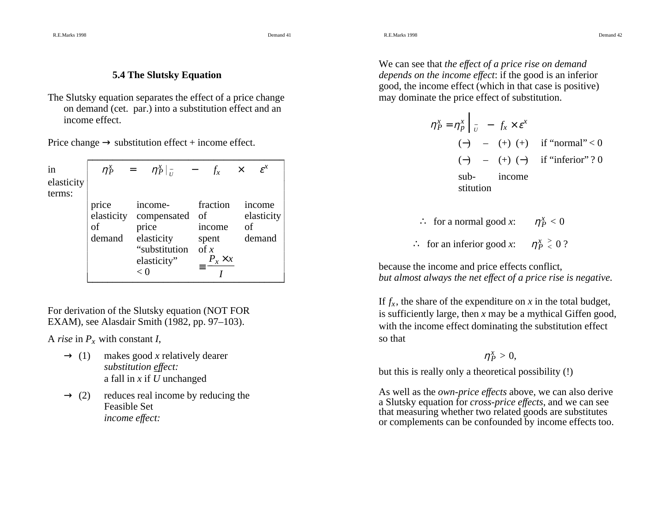R.E.Marks 1998

8 Demand 41

8 Demand 42

#### **5.4 The Slutsky Equation**

The Slutsky equation separates the effect of <sup>a</sup> price change on demand (cet. par.) into <sup>a</sup> substitution effect and an income effect.

Price change  $\rightarrow$  substitution effect + income effect.

| in                   | $\eta_P^x =$                        | $\eta_P^x _{\overline{R}}$ - $f_x$                                                             |                                                                         | $\varepsilon^x$<br>$\times$          |
|----------------------|-------------------------------------|------------------------------------------------------------------------------------------------|-------------------------------------------------------------------------|--------------------------------------|
| elasticity<br>terms: |                                     |                                                                                                |                                                                         |                                      |
|                      | price<br>elasticity<br>οf<br>demand | income-<br>compensated of<br>price<br>elasticity<br>"substitution of $x$<br>elasticity"<br>< 0 | fraction<br>income<br>spent<br>$\equiv \frac{P_x \times x}{\sqrt{P_x}}$ | income<br>elasticity<br>of<br>demand |

For derivation of the Slutsky equation (NOT FOR EXAM), see Alasdair Smith (1982, pp. 97–103).

A *rise* in *Px* with constant *I*,

- $\rightarrow$  (1) makes good *x* relatively dearer *substitution effect:* <sup>a</sup> fall in *<sup>x</sup>* if *U*unchanged \_\_
- $\rightarrow$  (2) reduces real income by reducing the Feasible Set*income effect:*

We can see that *the effect of <sup>a</sup> price rise on demand depends on the income effect*: if the good is an inferior good, the income effect (which in that case is positive) may dominate the price effect of substitution.

$$
\eta_P^x = \eta_P^x \Big|_{U} - f_x \times \varepsilon^x
$$
  
\n
$$
(-) - (+) (+) if "normal" < 0
$$
  
\n
$$
(-) - (+) (-) if "inferior" ? 0
$$
  
\nsub-  
\n
$$
sub-
$$
  
\n
$$
sitution
$$

- $\therefore$  for a normal good  $x: \eta P^x \leq 0$
- $\therefore$  for an inferior good  $x: \eta_P^x \geq 0$ ?

because the income and price effects conflict, but almost always the net effect of a price rise is negative.

If *fx*, the share of the expenditure on *<sup>x</sup>* in the total budget, is sufficiently large, then *<sup>x</sup>* may be <sup>a</sup> mythical Giffen good, with the income effect dominating the substitution effect so that

 $n_P^x > 0$ ,

but this is really only <sup>a</sup> theoretical possibility (!)

As well as the *own-price effects* above, we can also derive <sup>a</sup> Slutsky equation for *cross-price effects*, and we can see that measuring whether two related goods are substitutes or complements can be confounded by income effects too.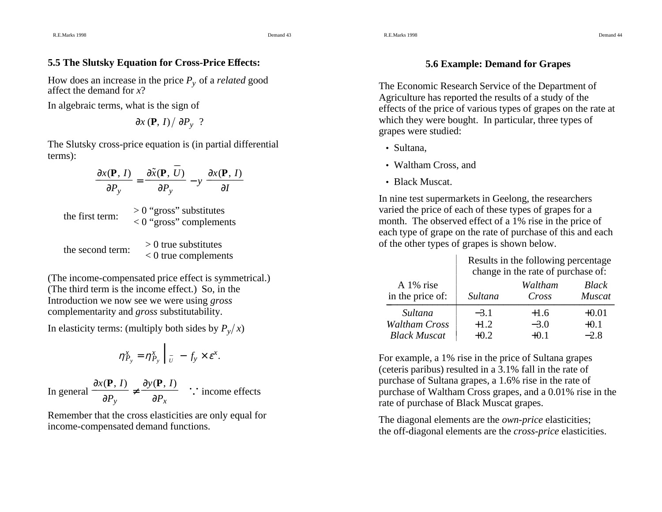# **5.5 The Slutsky Equation for Cross-Price Effects:**

How does an increase in the price *Py* of <sup>a</sup> *related* goo<sup>d</sup> affect the demand foraffect the demand for x?

In algebraic terms, what is the sign of

$$
\partial x \left( \mathbf{P}, I \right) / \partial P_y
$$
?

The Slutsky cross-price equation is (in partial differential terms):

\_\_

$$
\frac{\partial x(\mathbf{P}, I)}{\partial P_y} = \frac{\partial \tilde{x}(\mathbf{P}, U)}{\partial P_y} - y \frac{\partial x(\mathbf{P}, I)}{\partial I}
$$
  
the first term:  $> 0$  "gross" substitutes  
 $> 0$  "gross" complements  
 $> 0$  true substitutes  
 $> 0$  true substitutes  
 $> 0$  true complements

(The income-compensated price effect is symmetrical.) (The third term is the income effect.) So, in the Introduction we now see we were using *gross* complementarity and *gross* substitutability.

In elasticity terms: (multiply both sides by  $P_y(x)$ 

$$
\eta_{P_y}^x = \eta_{P_y}^x \bigg|_{U} - f_y \times \varepsilon^x.
$$

In general  $\frac{\partial P_y}{\partial P_y}$  $\frac{\partial x(\mathbf{P}, I)}{\partial P_y} \neq \frac{\partial y(\mathbf{P}, I)}{\partial P_x}$  $\frac{\partial y(\mathbf{P}, I)}{\partial \mathbf{P}}$  : income effects

Remember that the cross elasticities are only equal for income-compensated demand functions.

#### **5.6 Example: Demand for Grapes**

The Economic Research Service of the Department of Agriculture has reported the results of <sup>a</sup> study of the effects of the price of various types of grapes on the rate at which they were bought. In particular, three types of grapes were studied:

- Sultana,
- Waltham Cross, and
- Black Muscat.

In nine test supermarkets in Geelong, the researchers varied the price of each of these types of grapes for <sup>a</sup> month. The observed effect of <sup>a</sup> 1% rise in the price of each type of grape on the rate of purchase of this and each of the other types of grapes is shown below.

|                      | Results in the following percentage.<br>change in the rate of purchase of: |         |               |  |  |
|----------------------|----------------------------------------------------------------------------|---------|---------------|--|--|
| A 1% rise            | Sultana                                                                    | Waltham | Black         |  |  |
| in the price of:     |                                                                            | Cross   | <b>Muscat</b> |  |  |
| Sultana              | $-3.1$                                                                     | $+1.6$  | $+0.01$       |  |  |
| <b>Waltham Cross</b> | $+1.2$                                                                     | $-3.0$  | $+0.1$        |  |  |
| <b>Black Muscat</b>  | $+0.2$                                                                     | $+0.1$  | $-2.8$        |  |  |

For example, <sup>a</sup> 1% rise in the price of Sultana grapes (ceteris paribus) resulted in <sup>a</sup> 3.1% fall in the rate of purchase of Sultana grapes, <sup>a</sup> 1.6% rise in the rate of purchase of Waltham Cross grapes, and <sup>a</sup> 0.01% rise in the rate of purchase of Black Muscat grapes.

The diagonal elements are the *own-price* elasticities; the off-diagonal elements are the *cross-price* elasticities.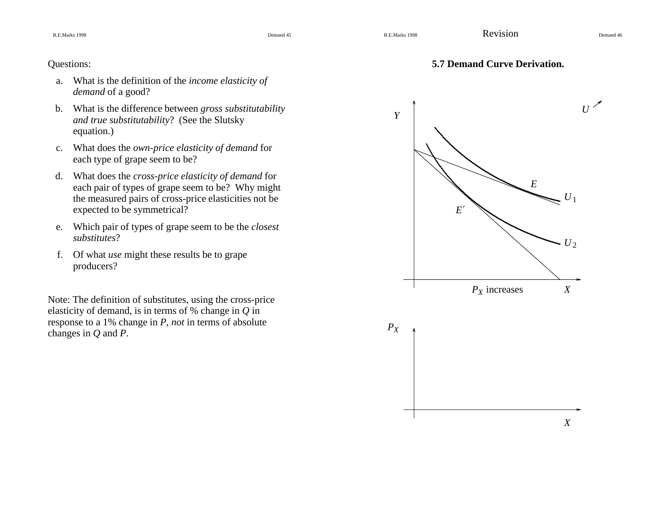Questions:

8 Demand 45

## **5.7 Demand Curve Derivation.**

- a. What is the definition of the *income elasticity of demand* of <sup>a</sup> good?
- b. What is the difference between *gross substitutability and true substitutability*? (See the Slutsky equation.)
- c. What does the *own-price elasticity of demand* for each type of grape seem to be?
- d. What does the *cross-price elasticity of demand* for each pair of types of grape seem to be? Why might the measured pairs of cross-price elasticities not be expected to be symmetrical?
- e. Which pair of types of grape seem to be the *closest substitutes*?
- f. Of what *use* might these results be to grape producers?

Note: The definition of substitutes, using the cross-price elasticity of demand, is in terms of % change in *Q* in response to <sup>a</sup> 1% change in *P*, *not* in terms of absolute changes in *Q* and *P*.

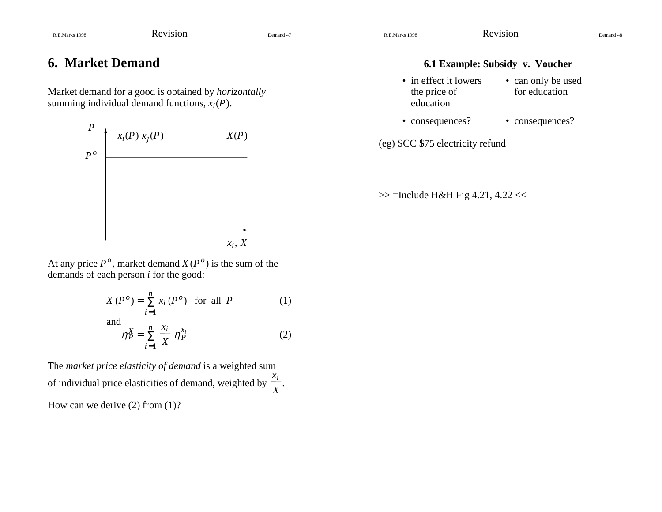# **6. Market Demand**

Market demand for <sup>a</sup> good is obtained by *horizontally* summing individual demand functions,  $x_i(P)$ .



#### **6.1 Example: Subsidy v. Voucher**

- in effect it lowers the price of education• can only be used for education
- consequences? consequences? • consequences?

(eg) SCC \$75 electricity refund

 $>>$  =Include H&H Fig 4.21, 4.22 <<

At any price  $P^o$ , market demand  $X(P^o)$  is the sum of the demands of each person *i* for the good:

$$
X(P^o) = \sum_{i=1}^{n} x_i(P^o) \quad \text{for all } P \tag{1}
$$

and

$$
\eta_P^X = \sum_{i=1}^n \frac{x_i}{X} \eta_P^{x_i} \tag{2}
$$

The *market price elasticity of demand* is <sup>a</sup> weighted sum of individual price elasticities of demand, weighted by  $\frac{x_i}{X}$ . How can we derive (2) from (1)?